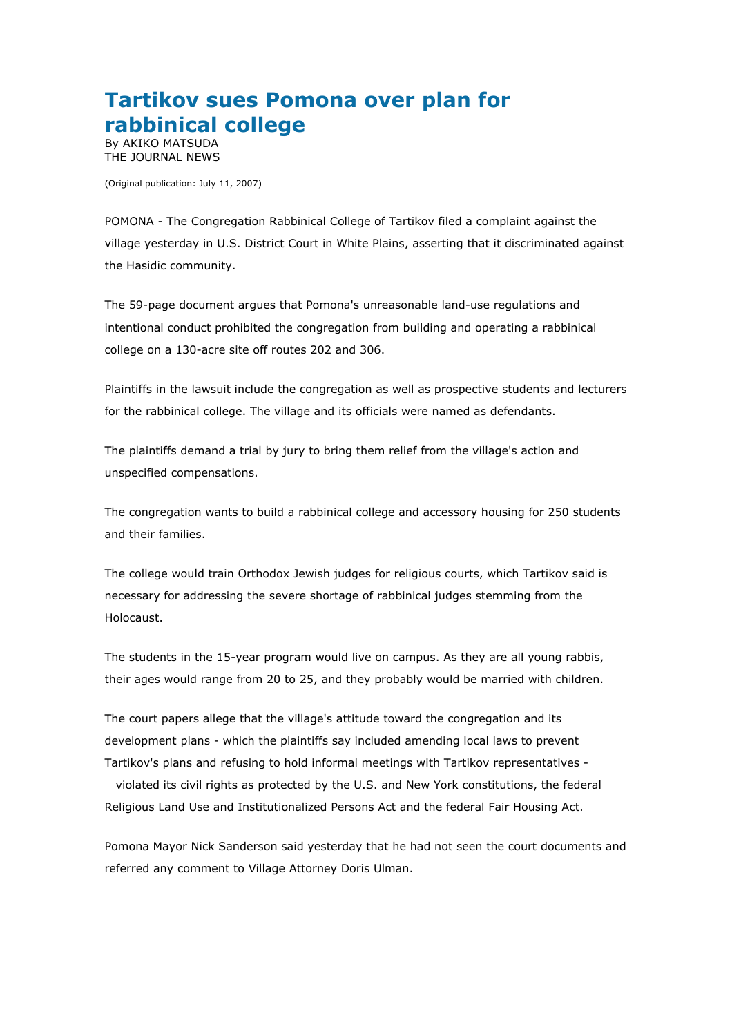## **Tartikov sues Pomona over plan for rabbinical college**

By AKIKO MATSUDA THE JOURNAL NEWS

(Original publication: July 11, 2007)

POMONA - The Congregation Rabbinical College of Tartikov filed a complaint against the village yesterday in U.S. District Court in White Plains, asserting that it discriminated against the Hasidic community.

The 59-page document argues that Pomona's unreasonable land-use regulations and intentional conduct prohibited the congregation from building and operating a rabbinical college on a 130-acre site off routes 202 and 306.

Plaintiffs in the lawsuit include the congregation as well as prospective students and lecturers for the rabbinical college. The village and its officials were named as defendants.

The plaintiffs demand a trial by jury to bring them relief from the village's action and unspecified compensations.

The congregation wants to build a rabbinical college and accessory housing for 250 students and their families.

The college would train Orthodox Jewish judges for religious courts, which Tartikov said is necessary for addressing the severe shortage of rabbinical judges stemming from the Holocaust.

The students in the 15-year program would live on campus. As they are all young rabbis, their ages would range from 20 to 25, and they probably would be married with children.

The court papers allege that the village's attitude toward the congregation and its development plans - which the plaintiffs say included amending local laws to prevent Tartikov's plans and refusing to hold informal meetings with Tartikov representatives -

violated its civil rights as protected by the U.S. and New York constitutions, the federal Religious Land Use and Institutionalized Persons Act and the federal Fair Housing Act.

Pomona Mayor Nick Sanderson said yesterday that he had not seen the court documents and referred any comment to Village Attorney Doris Ulman.